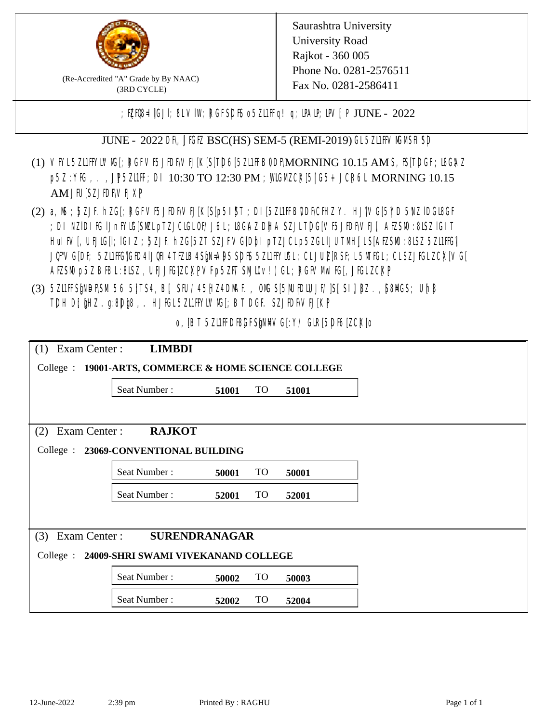

(Re-Accredited "A" Grade by By NAAC) (3RD CYCLE)

; PERB= IGJI; 8L VIW; RGFSDIS o 5ZL1 Fig! q; DAIP; DV[; P JUNE - 2022

JUNE - 2022 DR, JIGIZ BSC(HS) SEM-5 (REMI-2019) GL5Z1IFVMMSH SD

- (1) VFYL5Z11FFYLVMC[; RGFVF5JEDF\VEJ[K[S[T]D6[5Z11FFB0DF\MORNING 10.15 AM S, IS[T]DGF; I8G\AZ p5Z : YIG, . , JP 5ZL1FF; DI 10:30 TO 12:30 PM ; MIGM COX[5] G5+ JCR6L MORNING 10.15 AM JIUSZJIDRVEJXP
- (2) a, M ; BZJE hZG[; RGFVE5JIDF\VEJ[K[S[p5I]\$T ; DI[5ZI1IFB\DDF\CHIZ Y. HJ]\VG[5|YD 5\VZ lDGI8GF ; DI NZIDI K; IJnFYIG[SMLpTZJCIGLOF/J6L; ISGAZ DHA SZJLTDG[VF5JFDF\VEJ[, AEZSM0 :8LSZ IGIT] HuIFV[, UEJG[]; IGIZ ; 5ZJF. hZG[5ZT SZJFVG[DbI pTZJCLp5ZGLIJUTMHJLS[AEZSM0 :8LSZ 5Z11HG] JQFVG[DF; 5Z11HG]GED4 LJQH 4 TEZIB4 SEN= APS SDFS 5Z11 HYIGL; CL JUL [RSF; L 5MTGL; CL SZJFGL ZCK[ VG[ AESM p5Z BBL:8LSZ, UEJJG|ZCKPVFp5ZFT SMIOv!) GL; RGFVM EG[, JJGLZCKP
- (3) 5ZUFFS&NDF\SM.56 5}TS4, B[, SFU/45HZ4D\MAF., OMS[5|NU|PDIUJF/]S[ SI], [8Z.,[S8]ACS; Uh[8 TDH D[ $jHZ$ .g:8D $jg$ , HJ $KL$ 5ZL1FFYLVMS[;BT DGF. SZJEDFIVEJ[KP]

o, IBT 5Z11FDBGFSMM/G[:Y/ GIR[5DF6[ZCK]0

| Exam Center:<br><b>LIMBDI</b><br>(1)                     |              |       |           |       |  |  |  |
|----------------------------------------------------------|--------------|-------|-----------|-------|--|--|--|
| College : 19001-ARTS, COMMERCE & HOME SCIENCE COLLEGE    |              |       |           |       |  |  |  |
|                                                          | Seat Number: | 51001 | <b>TO</b> | 51001 |  |  |  |
|                                                          |              |       |           |       |  |  |  |
| Exam Center :<br><b>RAJKOT</b><br>(2)                    |              |       |           |       |  |  |  |
| College : 23069-CONVENTIONAL BUILDING                    |              |       |           |       |  |  |  |
|                                                          | Seat Number: | 50001 | <b>TO</b> | 50001 |  |  |  |
|                                                          | Seat Number: | 52001 | <b>TO</b> | 52001 |  |  |  |
|                                                          |              |       |           |       |  |  |  |
| <b>SURENDRANAGAR</b><br>Exam Center:<br>(3)              |              |       |           |       |  |  |  |
| $\text{Collect:}$<br>24009-SHRI SWAMI VIVEKANAND COLLEGE |              |       |           |       |  |  |  |
|                                                          | Seat Number: | 50002 | <b>TO</b> | 50003 |  |  |  |
|                                                          | Seat Number: | 52002 | TO        | 52004 |  |  |  |